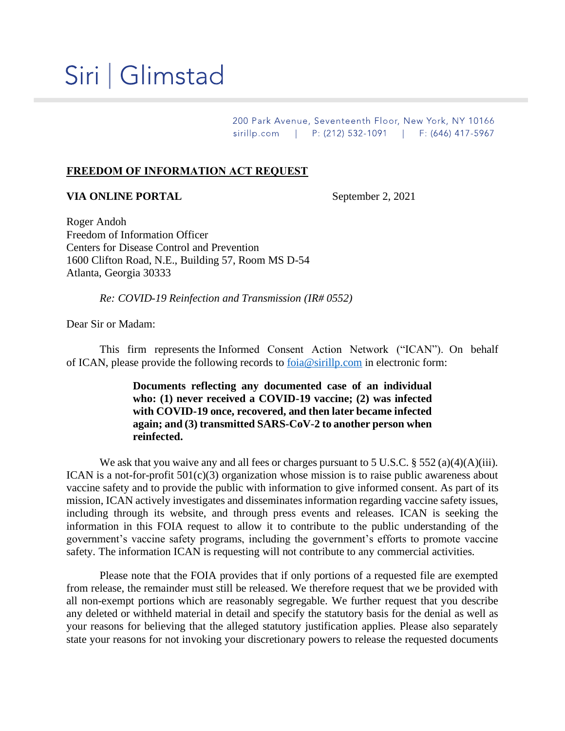## Siri | Glimstad

200 Park Avenue, Seventeenth Floor, New York, NY 10166 sirillp.com | P: (212) 532-1091 | F: (646) 417-5967

## **FREEDOM OF INFORMATION ACT REQUEST**

## **VIA ONLINE PORTAL** September 2, 2021

Roger Andoh Freedom of Information Officer Centers for Disease Control and Prevention 1600 Clifton Road, N.E., Building 57, Room MS D-54 Atlanta, Georgia 30333

*Re: COVID-19 Reinfection and Transmission (IR# 0552)*

Dear Sir or Madam:

This firm represents the Informed Consent Action Network ("ICAN"). On behalf of ICAN, please provide the following records to [foia@sirillp.com](mailto:foia@sirillp.com) in electronic form:

> **Documents reflecting any documented case of an individual who: (1) never received a COVID-19 vaccine; (2) was infected with COVID-19 once, recovered, and then later became infected again; and (3) transmitted SARS-CoV-2 to another person when reinfected.**

We ask that you waive any and all fees or charges pursuant to 5 U.S.C. § 552 (a)(4)(A)(iii). ICAN is a not-for-profit  $501(c)(3)$  organization whose mission is to raise public awareness about vaccine safety and to provide the public with information to give informed consent. As part of its mission, ICAN actively investigates and disseminates information regarding vaccine safety issues, including through its website, and through press events and releases. ICAN is seeking the information in this FOIA request to allow it to contribute to the public understanding of the government's vaccine safety programs, including the government's efforts to promote vaccine safety. The information ICAN is requesting will not contribute to any commercial activities.

Please note that the FOIA provides that if only portions of a requested file are exempted from release, the remainder must still be released. We therefore request that we be provided with all non-exempt portions which are reasonably segregable. We further request that you describe any deleted or withheld material in detail and specify the statutory basis for the denial as well as your reasons for believing that the alleged statutory justification applies. Please also separately state your reasons for not invoking your discretionary powers to release the requested documents